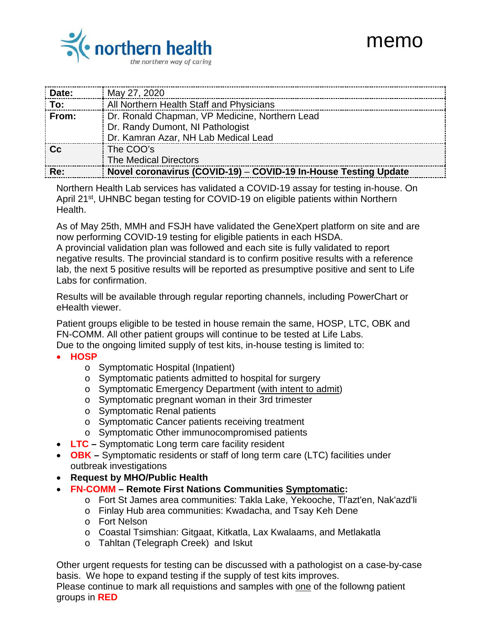## memo



| Date:                        | May 27, 2020                                                    |
|------------------------------|-----------------------------------------------------------------|
| $\overline{\phantom{a}}$ To: | All Northern Health Staff and Physicians                        |
| From:                        | Dr. Ronald Chapman, VP Medicine, Northern Lead                  |
|                              | Dr. Randy Dumont, NI Pathologist                                |
|                              | Dr. Kamran Azar, NH Lab Medical Lead                            |
| ∣ Cc                         | The COO's                                                       |
|                              | <b>The Medical Directors</b>                                    |
| ∣ Re:                        | Novel coronavirus (COVID-19) - COVID-19 In-House Testing Update |

Northern Health Lab services has validated a COVID-19 assay for testing in-house. On April 21<sup>st</sup>, UHNBC began testing for COVID-19 on eligible patients within Northern Health.

As of May 25th, MMH and FSJH have validated the GeneXpert platform on site and are now performing COVID-19 testing for eligible patients in each HSDA.

A provincial validation plan was followed and each site is fully validated to report negative results. The provincial standard is to confirm positive results with a reference lab, the next 5 positive results will be reported as presumptive positive and sent to Life Labs for confirmation.

Results will be available through regular reporting channels, including PowerChart or eHealth viewer.

Patient groups eligible to be tested in house remain the same, HOSP, LTC, OBK and FN-COMM. All other patient groups will continue to be tested at Life Labs.

Due to the ongoing limited supply of test kits, in-house testing is limited to:

- **HOSP**
	- o Symptomatic Hospital (Inpatient)
	- o Symptomatic patients admitted to hospital for surgery
	- o Symptomatic Emergency Department (with intent to admit)
	- o Symptomatic pregnant woman in their 3rd trimester
	- o Symptomatic Renal patients
	- o Symptomatic Cancer patients receiving treatment
	- o Symptomatic Other immunocompromised patients
- **LTC –** Symptomatic Long term care facility resident
- **OBK –** Symptomatic residents or staff of long term care (LTC) facilities under outbreak investigations
- **Request by MHO/Public Health**
- **FN-COMM – Remote First Nations Communities Symptomatic:**
	- o Fort St James area communities: Takla Lake, Yekooche, Tl'azt'en, Nak'azd'li
	- o Finlay Hub area communities: Kwadacha, and Tsay Keh Dene
	- o Fort Nelson
	- o Coastal Tsimshian: Gitgaat, Kitkatla, Lax Kwalaams, and Metlakatla
	- o Tahltan (Telegraph Creek) and Iskut

Other urgent requests for testing can be discussed with a pathologist on a case-by-case basis. We hope to expand testing if the supply of test kits improves.

Please continue to mark all requistions and samples with one of the followng patient groups in **RED**